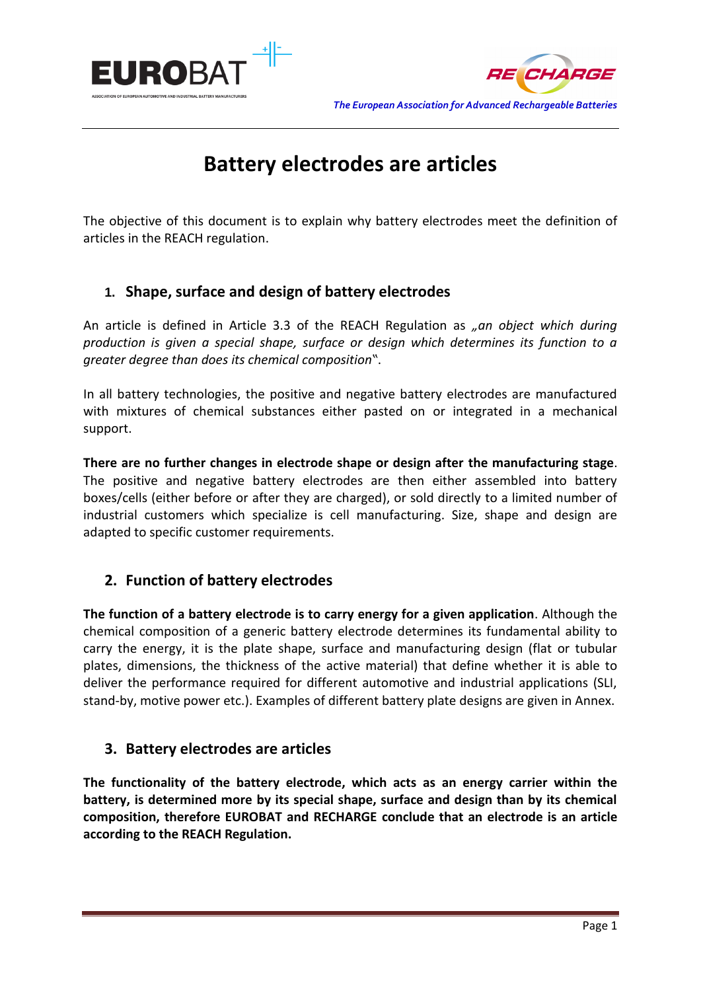



# **Battery electrodes are articles**

The objective of this document is to explain why battery electrodes meet the definition of articles in the REACH regulation.

## **1. Shape, surface and design of battery electrodes**

An article is defined in Article 3.3 of the REACH Regulation as *"an object which during production is given a special shape, surface or design which determines its function to a greater degree than does its chemical composition"*.

In all battery technologies, the positive and negative battery electrodes are manufactured with mixtures of chemical substances either pasted on or integrated in a mechanical support.

**There are no further changes in electrode shape or design after the manufacturing stage**. The positive and negative battery electrodes are then either assembled into battery boxes/cells (either before or after they are charged), or sold directly to a limited number of industrial customers which specialize is cell manufacturing. Size, shape and design are adapted to specific customer requirements.

## **2. Function of battery electrodes**

**The function of a battery electrode is to carry energy for a given application**. Although the chemical composition of a generic battery electrode determines its fundamental ability to carry the energy, it is the plate shape, surface and manufacturing design (flat or tubular plates, dimensions, the thickness of the active material) that define whether it is able to deliver the performance required for different automotive and industrial applications (SLI, stand-by, motive power etc.). Examples of different battery plate designs are given in Annex.

## **3. Battery electrodes are articles**

**The functionality of the battery electrode, which acts as an energy carrier within the battery, is determined more by its special shape, surface and design than by its chemical composition, therefore EUROBAT and RECHARGE conclude that an electrode is an article according to the REACH Regulation.**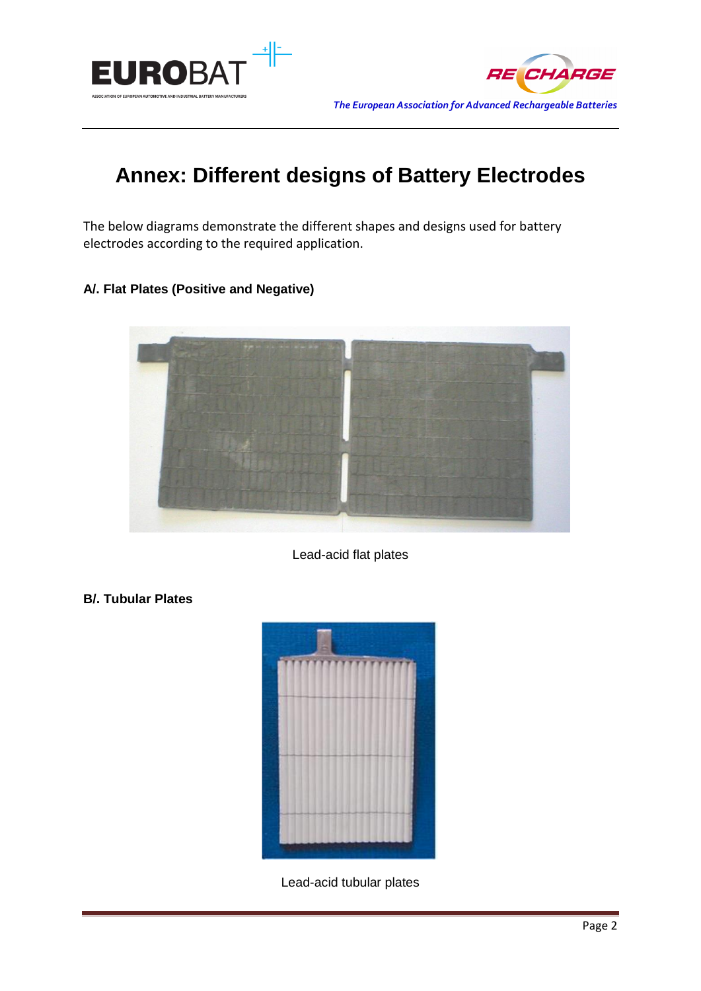



## **Annex: Different designs of Battery Electrodes**

The below diagrams demonstrate the different shapes and designs used for battery electrodes according to the required application.

#### **A/. Flat Plates (Positive and Negative)**



Lead-acid flat plates

#### **B/. Tubular Plates**



Lead-acid tubular plates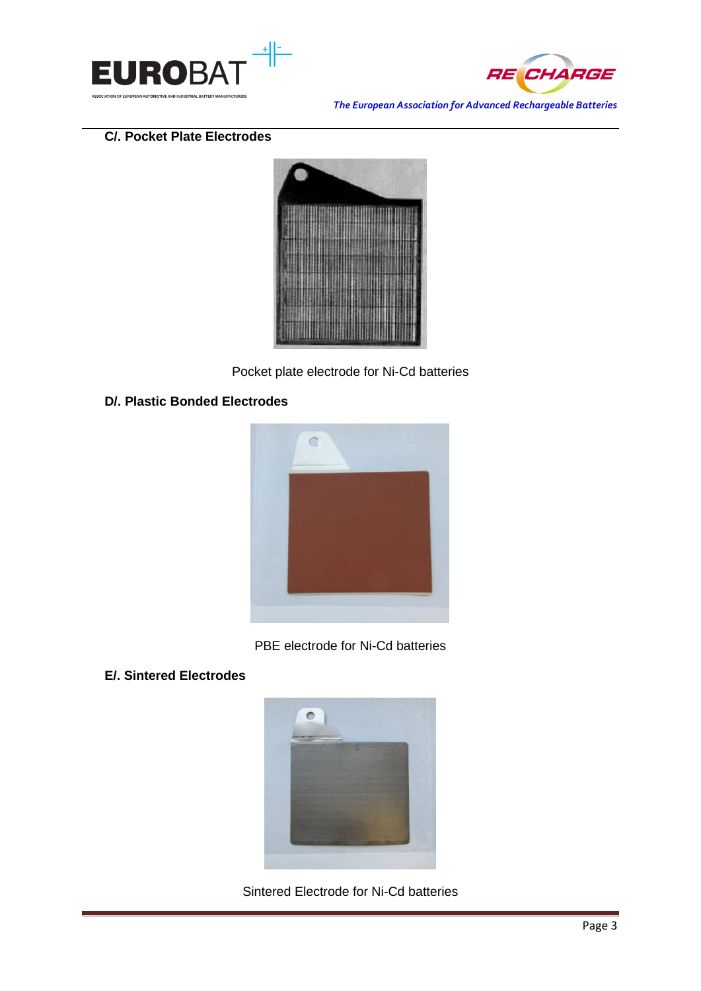



*The European Association for Advanced Rechargeable Batteries*

#### **C/. Pocket Plate Electrodes**



Pocket plate electrode for Ni-Cd batteries

#### **D/. Plastic Bonded Electrodes**



PBE electrode for Ni-Cd batteries

#### **E/. Sintered Electrodes**



Sintered Electrode for Ni-Cd batteries